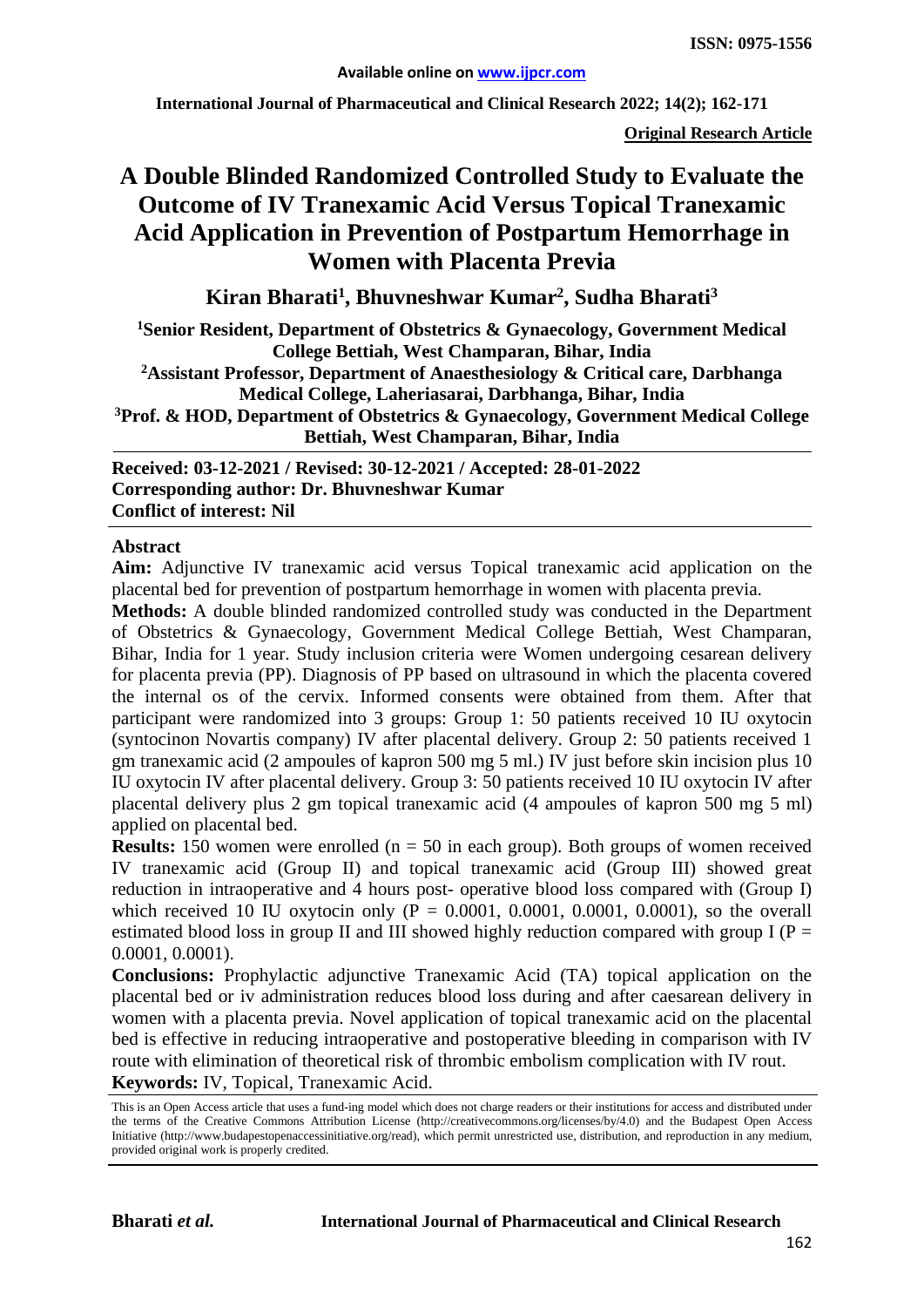**International Journal of Pharmaceutical and Clinical Research 2022; 14(2); 162-171**

**Original Research Article**

# **A Double Blinded Randomized Controlled Study to Evaluate the Outcome of IV Tranexamic Acid Versus Topical Tranexamic Acid Application in Prevention of Postpartum Hemorrhage in Women with Placenta Previa**

**Kiran Bharati1 , Bhuvneshwar Kumar2 , Sudha Bharati3**

**1 Senior Resident, Department of Obstetrics & Gynaecology, Government Medical College Bettiah, West Champaran, Bihar, India 2Assistant Professor, Department of Anaesthesiology & Critical care, Darbhanga** 

**Medical College, Laheriasarai, Darbhanga, Bihar, India**

**3Prof. & HOD, Department of Obstetrics & Gynaecology, Government Medical College Bettiah, West Champaran, Bihar, India**

**Received: 03-12-2021 / Revised: 30-12-2021 / Accepted: 28-01-2022 Corresponding author: Dr. Bhuvneshwar Kumar Conflict of interest: Nil**

#### **Abstract**

**Aim:** Adjunctive IV tranexamic acid versus Topical tranexamic acid application on the placental bed for prevention of postpartum hemorrhage in women with placenta previa.

**Methods:** A double blinded randomized controlled study was conducted in the Department of Obstetrics & Gynaecology, Government Medical College Bettiah, West Champaran, Bihar, India for 1 year. Study inclusion criteria were Women undergoing cesarean delivery for placenta previa (PP). Diagnosis of PP based on ultrasound in which the placenta covered the internal os of the cervix. Informed consents were obtained from them. After that participant were randomized into 3 groups: Group 1: 50 patients received 10 IU oxytocin (syntocinon Novartis company) IV after placental delivery. Group 2: 50 patients received 1 gm tranexamic acid (2 ampoules of kapron 500 mg 5 ml.) IV just before skin incision plus 10 IU oxytocin IV after placental delivery. Group 3: 50 patients received 10 IU oxytocin IV after placental delivery plus 2 gm topical tranexamic acid (4 ampoules of kapron 500 mg 5 ml) applied on placental bed.

**Results:** 150 women were enrolled ( $n = 50$  in each group). Both groups of women received IV tranexamic acid (Group II) and topical tranexamic acid (Group III) showed great reduction in intraoperative and 4 hours post- operative blood loss compared with (Group I) which received 10 IU oxytocin only  $(P = 0.0001, 0.0001, 0.0001, 0.0001)$ , so the overall estimated blood loss in group II and III showed highly reduction compared with group I ( $P =$ 0.0001, 0.0001).

**Conclusions:** Prophylactic adjunctive Tranexamic Acid (TA) topical application on the placental bed or iv administration reduces blood loss during and after caesarean delivery in women with a placenta previa. Novel application of topical tranexamic acid on the placental bed is effective in reducing intraoperative and postoperative bleeding in comparison with IV route with elimination of theoretical risk of thrombic embolism complication with IV rout. **Keywords:** IV, Topical, Tranexamic Acid.

This is an Open Access article that uses a fund-ing model which does not charge readers or their institutions for access and distributed under the terms of the Creative Commons Attribution License (http://creativecommons.org/licenses/by/4.0) and the Budapest Open Access Initiative (http://www.budapestopenaccessinitiative.org/read), which permit unrestricted use, distribution, and reproduction in any medium, provided original work is properly credited.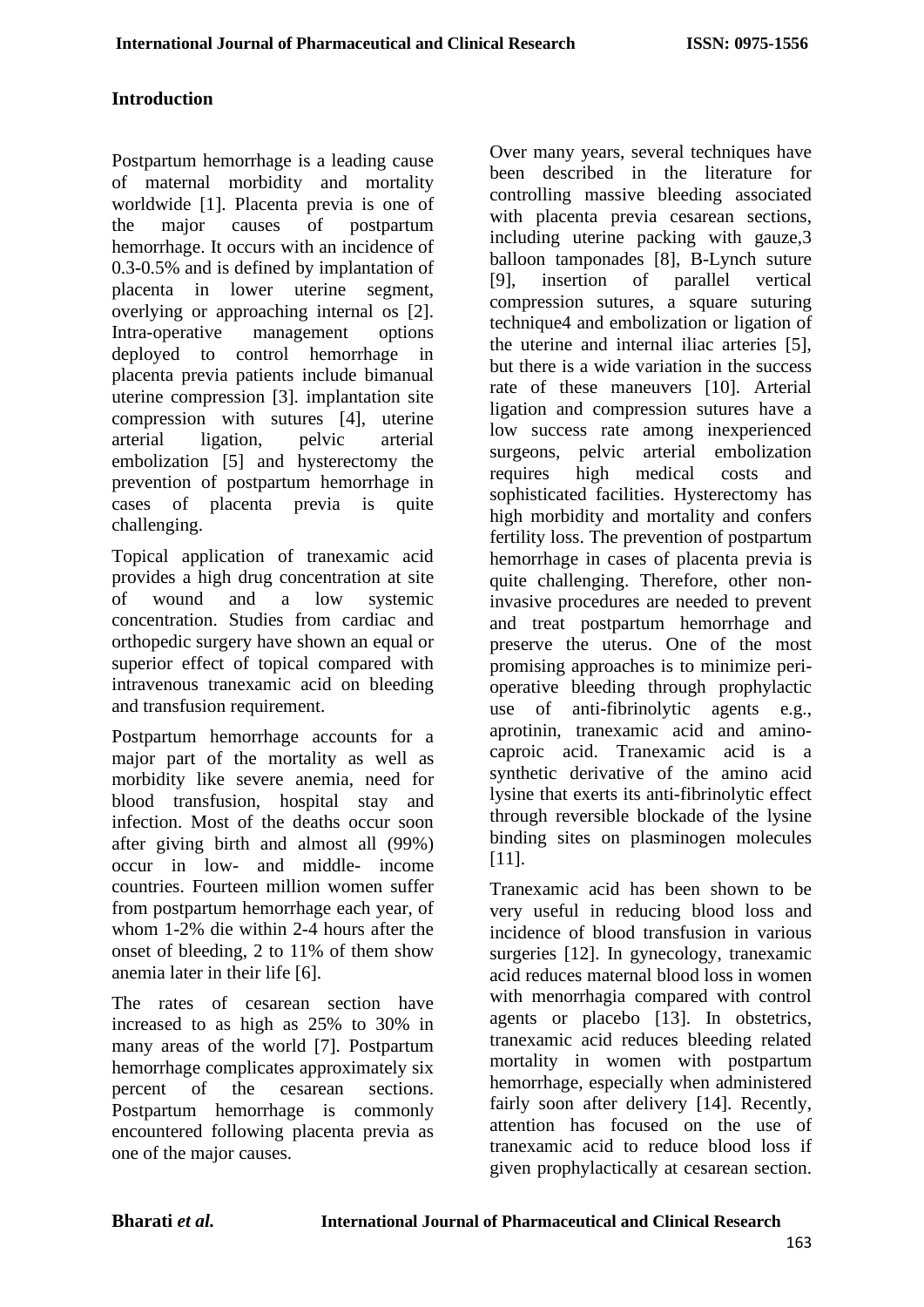# **Introduction**

Postpartum hemorrhage is a leading cause of maternal morbidity and mortality worldwide [1]. Placenta previa is one of the major causes of postpartum hemorrhage. It occurs with an incidence of 0.3-0.5% and is defined by implantation of placenta in lower uterine segment, overlying or approaching internal os [2]. Intra-operative management options deployed to control hemorrhage in placenta previa patients include bimanual uterine compression [3]. implantation site compression with sutures [4], uterine arterial ligation, pelvic arterial embolization [5] and hysterectomy the prevention of postpartum hemorrhage in cases of placenta previa is quite challenging.

Topical application of tranexamic acid provides a high drug concentration at site of wound and a low systemic concentration. Studies from cardiac and orthopedic surgery have shown an equal or superior effect of topical compared with intravenous tranexamic acid on bleeding and transfusion requirement.

Postpartum hemorrhage accounts for a major part of the mortality as well as morbidity like severe anemia, need for blood transfusion, hospital stay and infection. Most of the deaths occur soon after giving birth and almost all (99%) occur in low- and middle- income countries. Fourteen million women suffer from postpartum hemorrhage each year, of whom 1-2% die within 2-4 hours after the onset of bleeding, 2 to 11% of them show anemia later in their life [6].

The rates of cesarean section have increased to as high as 25% to 30% in many areas of the world [7]. Postpartum hemorrhage complicates approximately six percent of the cesarean sections. Postpartum hemorrhage is commonly encountered following placenta previa as one of the major causes.

Over many years, several techniques have been described in the literature for controlling massive bleeding associated with placenta previa cesarean sections, including uterine packing with gauze,3 balloon tamponades [8], B-Lynch suture [9], insertion of parallel vertical compression sutures, a square suturing technique4 and embolization or ligation of the uterine and internal iliac arteries [5], but there is a wide variation in the success rate of these maneuvers [10]. Arterial ligation and compression sutures have a low success rate among inexperienced surgeons, pelvic arterial embolization requires high medical costs and sophisticated facilities. Hysterectomy has high morbidity and mortality and confers fertility loss. The prevention of postpartum hemorrhage in cases of placenta previa is quite challenging. Therefore, other noninvasive procedures are needed to prevent and treat postpartum hemorrhage and preserve the uterus. One of the most promising approaches is to minimize perioperative bleeding through prophylactic use of anti-fibrinolytic agents e.g., aprotinin, tranexamic acid and aminocaproic acid. Tranexamic acid is a synthetic derivative of the amino acid lysine that exerts its anti-fibrinolytic effect through reversible blockade of the lysine binding sites on plasminogen molecules [11].

Tranexamic acid has been shown to be very useful in reducing blood loss and incidence of blood transfusion in various surgeries [12]. In gynecology, tranexamic acid reduces maternal blood loss in women with menorrhagia compared with control agents or placebo [13]. In obstetrics, tranexamic acid reduces bleeding related mortality in women with postpartum hemorrhage, especially when administered fairly soon after delivery [14]. Recently, attention has focused on the use of tranexamic acid to reduce blood loss if given prophylactically at cesarean section.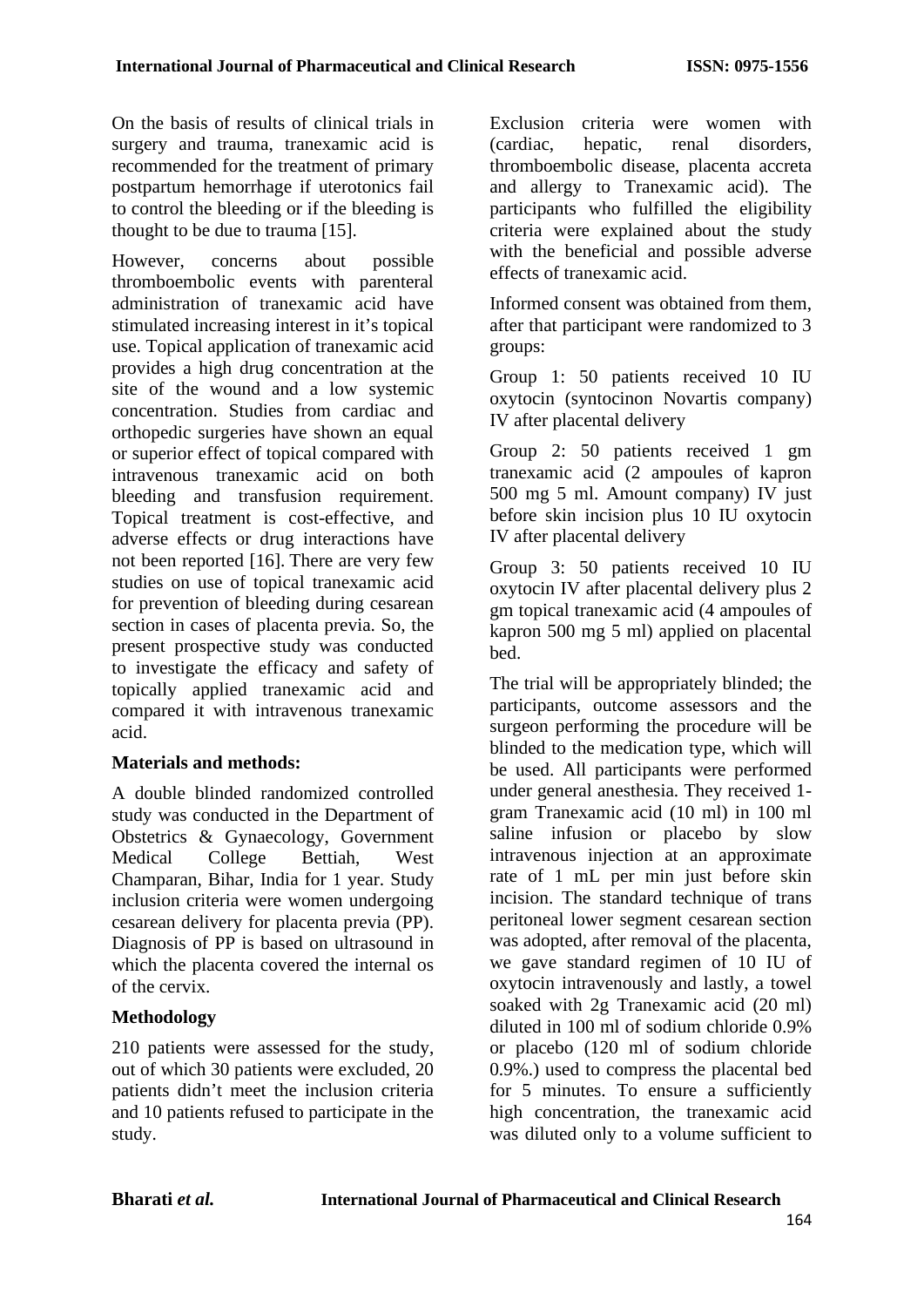On the basis of results of clinical trials in surgery and trauma, tranexamic acid is recommended for the treatment of primary postpartum hemorrhage if uterotonics fail to control the bleeding or if the bleeding is thought to be due to trauma [15].

However, concerns about possible thromboembolic events with parenteral administration of tranexamic acid have stimulated increasing interest in it's topical use. Topical application of tranexamic acid provides a high drug concentration at the site of the wound and a low systemic concentration. Studies from cardiac and orthopedic surgeries have shown an equal or superior effect of topical compared with intravenous tranexamic acid on both bleeding and transfusion requirement. Topical treatment is cost-effective, and adverse effects or drug interactions have not been reported [16]. There are very few studies on use of topical tranexamic acid for prevention of bleeding during cesarean section in cases of placenta previa. So, the present prospective study was conducted to investigate the efficacy and safety of topically applied tranexamic acid and compared it with intravenous tranexamic acid.

#### **Materials and methods:**

A double blinded randomized controlled study was conducted in the Department of Obstetrics & Gynaecology, Government Medical College Bettiah, West Champaran, Bihar, India for 1 year. Study inclusion criteria were women undergoing cesarean delivery for placenta previa (PP). Diagnosis of PP is based on ultrasound in which the placenta covered the internal os of the cervix.

### **Methodology**

210 patients were assessed for the study, out of which 30 patients were excluded, 20 patients didn't meet the inclusion criteria and 10 patients refused to participate in the study.

Exclusion criteria were women with (cardiac, hepatic, renal disorders, thromboembolic disease, placenta accreta and allergy to Tranexamic acid). The participants who fulfilled the eligibility criteria were explained about the study with the beneficial and possible adverse effects of tranexamic acid.

Informed consent was obtained from them, after that participant were randomized to 3 groups:

Group 1: 50 patients received 10 IU oxytocin (syntocinon Novartis company) IV after placental delivery

Group 2: 50 patients received 1 gm tranexamic acid (2 ampoules of kapron 500 mg 5 ml. Amount company) IV just before skin incision plus 10 IU oxytocin IV after placental delivery

Group 3: 50 patients received 10 IU oxytocin IV after placental delivery plus 2 gm topical tranexamic acid (4 ampoules of kapron 500 mg 5 ml) applied on placental bed.

The trial will be appropriately blinded; the participants, outcome assessors and the surgeon performing the procedure will be blinded to the medication type, which will be used. All participants were performed under general anesthesia. They received 1 gram Tranexamic acid (10 ml) in 100 ml saline infusion or placebo by slow intravenous injection at an approximate rate of 1 mL per min just before skin incision. The standard technique of trans peritoneal lower segment cesarean section was adopted, after removal of the placenta, we gave standard regimen of 10 IU of oxytocin intravenously and lastly, a towel soaked with 2g Tranexamic acid (20 ml) diluted in 100 ml of sodium chloride 0.9% or placebo (120 ml of sodium chloride 0.9%.) used to compress the placental bed for 5 minutes. To ensure a sufficiently high concentration, the tranexamic acid was diluted only to a volume sufficient to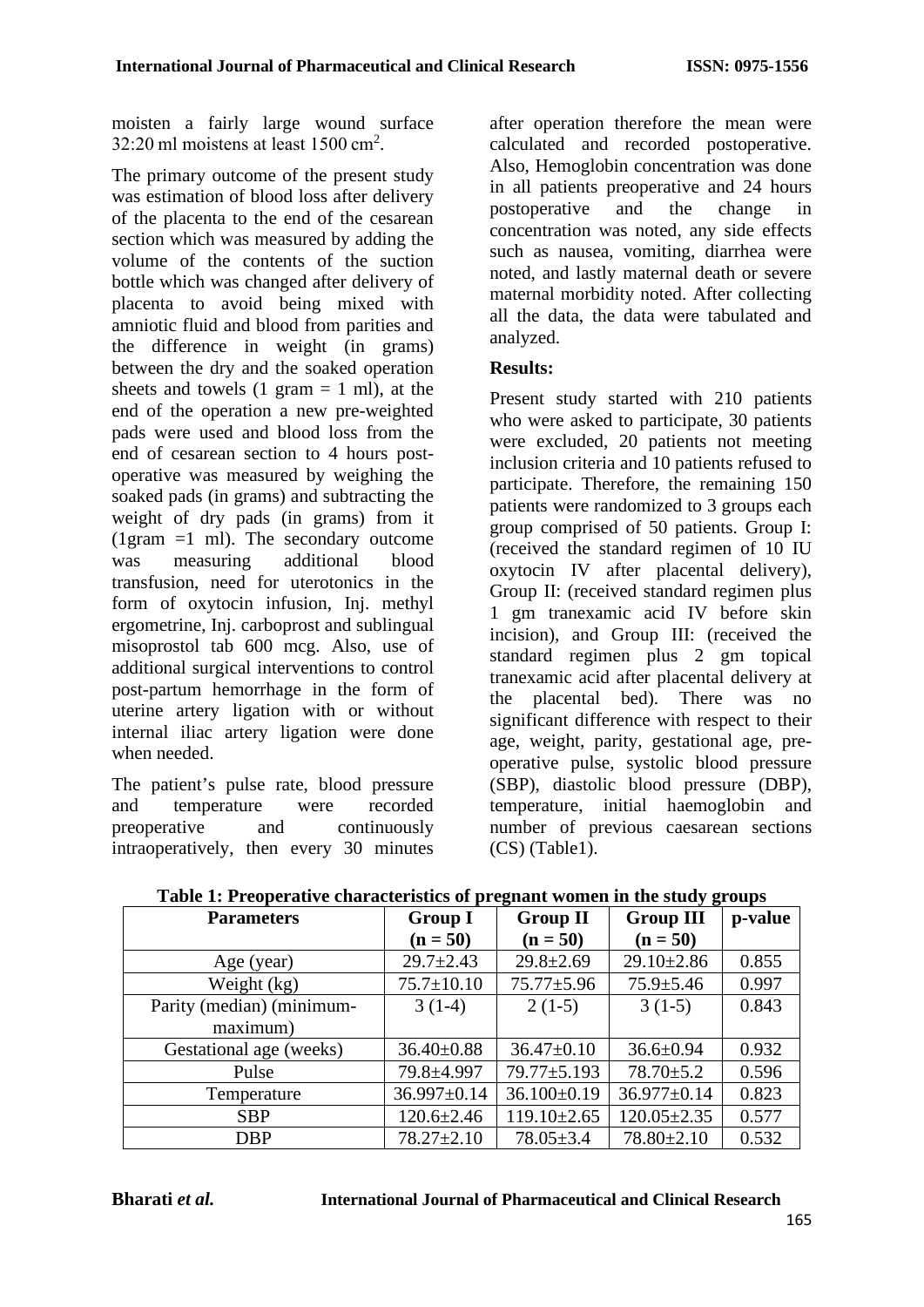moisten a fairly large wound surface 32:20 ml moistens at least 1500 cm<sup>2</sup> .

The primary outcome of the present study was estimation of blood loss after delivery of the placenta to the end of the cesarean section which was measured by adding the volume of the contents of the suction bottle which was changed after delivery of placenta to avoid being mixed with amniotic fluid and blood from parities and the difference in weight (in grams) between the dry and the soaked operation sheets and towels  $(1 \text{ gram} = 1 \text{ ml})$ , at the end of the operation a new pre-weighted pads were used and blood loss from the end of cesarean section to 4 hours postoperative was measured by weighing the soaked pads (in grams) and subtracting the weight of dry pads (in grams) from it (1gram  $=1$  ml). The secondary outcome was measuring additional blood transfusion, need for uterotonics in the form of oxytocin infusion, Inj. methyl ergometrine, Inj. carboprost and sublingual misoprostol tab 600 mcg. Also, use of additional surgical interventions to control post-partum hemorrhage in the form of uterine artery ligation with or without internal iliac artery ligation were done when needed.

The patient's pulse rate, blood pressure and temperature were recorded preoperative and continuously intraoperatively, then every 30 minutes after operation therefore the mean were calculated and recorded postoperative. Also, Hemoglobin concentration was done in all patients preoperative and 24 hours postoperative and the change in concentration was noted, any side effects such as nausea, vomiting, diarrhea were noted, and lastly maternal death or severe maternal morbidity noted. After collecting all the data, the data were tabulated and analyzed.

# **Results:**

Present study started with 210 patients who were asked to participate, 30 patients were excluded, 20 patients not meeting inclusion criteria and 10 patients refused to participate. Therefore, the remaining 150 patients were randomized to 3 groups each group comprised of 50 patients. Group I: (received the standard regimen of 10 IU oxytocin IV after placental delivery), Group II: (received standard regimen plus 1 gm tranexamic acid IV before skin incision), and Group III: (received the standard regimen plus 2 gm topical tranexamic acid after placental delivery at the placental bed). There was no significant difference with respect to their age, weight, parity, gestational age, preoperative pulse, systolic blood pressure (SBP), diastolic blood pressure (DBP), temperature, initial haemoglobin and number of previous caesarean sections (CS) (Table1).

| <b>Parameters</b>         | <b>Group I</b>   | <b>Group II</b>   | <b>Group III</b>  | p-value |
|---------------------------|------------------|-------------------|-------------------|---------|
|                           | $(n = 50)$       | $(n = 50)$        | $(n = 50)$        |         |
| Age (year)                | $29.7 \pm 2.43$  | $29.8 \pm 2.69$   | $29.10 \pm 2.86$  | 0.855   |
| Weight (kg)               | $75.7 \pm 10.10$ | $75.77 \pm 5.96$  | $75.9 \pm 5.46$   | 0.997   |
| Parity (median) (minimum- | $3(1-4)$         | $2(1-5)$          | $3(1-5)$          | 0.843   |
| maximum)                  |                  |                   |                   |         |
| Gestational age (weeks)   | $36.40 \pm 0.88$ | $36.47 \pm 0.10$  | $36.6 \pm 0.94$   | 0.932   |
| Pulse                     | 79.8±4.997       | $79.77 \pm 5.193$ | $78.70 \pm 5.2$   | 0.596   |
| Temperature               | 36.997±0.14      | $36.100 \pm 0.19$ | 36.977±0.14       | 0.823   |
| <b>SBP</b>                | $120.6 \pm 2.46$ | $119.10 \pm 2.65$ | $120.05 \pm 2.35$ | 0.577   |
| <b>DBP</b>                | $78.27 \pm 2.10$ | $78.05 \pm 3.4$   | $78.80 \pm 2.10$  | 0.532   |

### **Table 1: Preoperative characteristics of pregnant women in the study groups**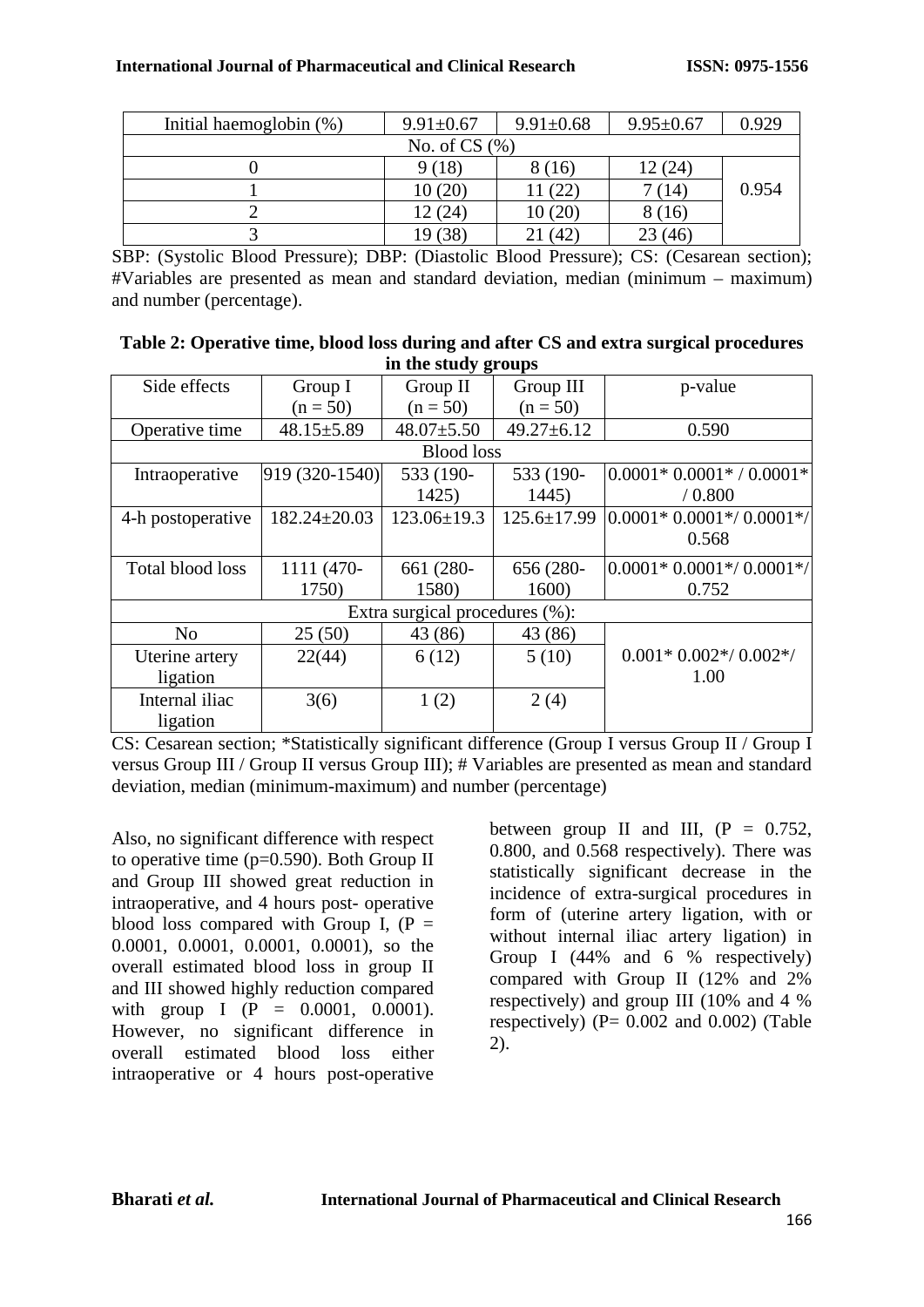|                | Initial haemoglobin (%) | $9.91 \pm 0.67$ | $9.91 \pm 0.68$ | $9.95 \pm 0.67$ | 0.929 |
|----------------|-------------------------|-----------------|-----------------|-----------------|-------|
| No. of $CS(%)$ |                         |                 |                 |                 |       |
|                |                         | 9(18)           | 8 (16)          | 12(24)          |       |
|                |                         | 10(20)          | 11 (22)         | 7(14)           | 0.954 |
|                |                         | 12(24)          | 10(20)          | 8(16)           |       |
|                |                         | 19 (38)         | (42)            | 23(46)          |       |

SBP: (Systolic Blood Pressure); DBP: (Diastolic Blood Pressure); CS: (Cesarean section); #Variables are presented as mean and standard deviation, median (minimum – maximum) and number (percentage).

| Table 2: Operative time, blood loss during and after CS and extra surgical procedures |
|---------------------------------------------------------------------------------------|
| in the study groups                                                                   |

|                                |                    | ັດ                |                   |                            |  |  |
|--------------------------------|--------------------|-------------------|-------------------|----------------------------|--|--|
| Side effects                   | Group I            | Group II          | Group III         | p-value                    |  |  |
|                                | $(n = 50)$         | $(n = 50)$        | $(n = 50)$        |                            |  |  |
| Operative time                 | $48.15 \pm 5.89$   | $48.07 \pm 5.50$  | $49.27 \pm 6.12$  | 0.590                      |  |  |
| <b>Blood</b> loss              |                    |                   |                   |                            |  |  |
| Intraoperative                 | 919 (320-1540)     | 533 (190-         | 533 (190-         | $ 0.0001*0.0001* 0.0001* $ |  |  |
|                                |                    | 1425)             | 1445)             | / 0.800                    |  |  |
| 4-h postoperative              | $182.24 \pm 20.03$ | $123.06 \pm 19.3$ | $125.6 \pm 17.99$ | $ 0.0001*0.0001*/0.0001*/$ |  |  |
|                                |                    |                   |                   | 0.568                      |  |  |
| Total blood loss               | 1111 (470-         | 661 (280-         | 656 (280-         | $0.0001*0.0001*/0.0001*/$  |  |  |
|                                | 1750)              | 1580)             | 1600)             | 0.752                      |  |  |
| Extra surgical procedures (%): |                    |                   |                   |                            |  |  |
| No                             | 25(50)             | 43 (86)           | 43 (86)           |                            |  |  |
| Uterine artery                 | 22(44)             | 6(12)             | 5(10)             | $0.001*0.002*/0.002*/$     |  |  |
| ligation                       |                    |                   |                   | 1.00                       |  |  |
| Internal iliac                 | 3(6)               | 1(2)              | 2(4)              |                            |  |  |
| ligation                       |                    |                   |                   |                            |  |  |

CS: Cesarean section; \*Statistically significant difference (Group I versus Group II / Group I versus Group III / Group II versus Group III); # Variables are presented as mean and standard deviation, median (minimum-maximum) and number (percentage)

Also, no significant difference with respect to operative time  $(p=0.590)$ . Both Group II and Group III showed great reduction in intraoperative, and 4 hours post- operative blood loss compared with Group I,  $(P =$ 0.0001, 0.0001, 0.0001, 0.0001), so the overall estimated blood loss in group II and III showed highly reduction compared with group I ( $P = 0.0001$ , 0.0001). However, no significant difference in overall estimated blood loss either intraoperative or 4 hours post-operative between group II and III,  $(P = 0.752)$ , 0.800, and 0.568 respectively). There was statistically significant decrease in the incidence of extra-surgical procedures in form of (uterine artery ligation, with or without internal iliac artery ligation) in Group I  $(44\%$  and 6 % respectively) compared with Group II (12% and 2% respectively) and group III (10% and 4 % respectively) ( $P = 0.002$  and  $0.002$ ) (Table 2).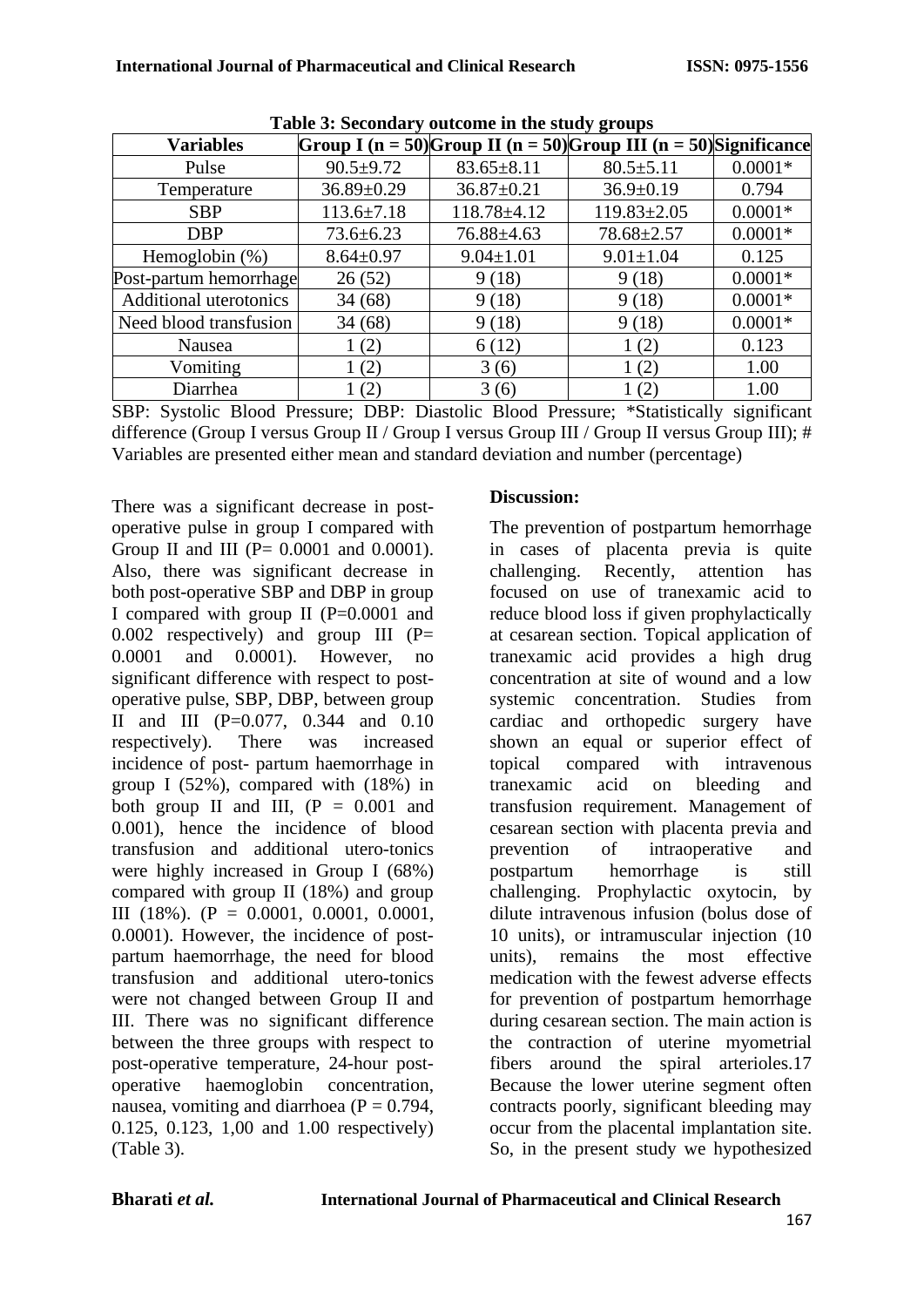| <b>Variables</b>              |                  |                  | ັດ<br>Group I (n = 50) Group II (n = 50) Group III (n = 50) Significance |           |
|-------------------------------|------------------|------------------|--------------------------------------------------------------------------|-----------|
| Pulse                         | $90.5 \pm 9.72$  | $83.65 \pm 8.11$ | $80.5 \pm 5.11$                                                          | $0.0001*$ |
| Temperature                   | $36.89 \pm 0.29$ | $36.87 \pm 0.21$ | $36.9 \pm 0.19$                                                          | 0.794     |
| <b>SBP</b>                    | $113.6 \pm 7.18$ | 118.78±4.12      | $119.83 \pm 2.05$                                                        | $0.0001*$ |
| <b>DBP</b>                    | $73.6 \pm 6.23$  | 76.88±4.63       | $78.68 \pm 2.57$                                                         | $0.0001*$ |
| Hemoglobin $(\%)$             | $8.64 \pm 0.97$  | $9.04 \pm 1.01$  | $9.01 \pm 1.04$                                                          | 0.125     |
| Post-partum hemorrhage        | 26(52)           | 9(18)            | 9(18)                                                                    | $0.0001*$ |
| <b>Additional uterotonics</b> | 34(68)           | 9(18)            | 9(18)                                                                    | $0.0001*$ |
| Need blood transfusion        | 34(68)           | 9(18)            | 9(18)                                                                    | $0.0001*$ |
| Nausea                        | 1(2)             | 6(12)            | 1(2)                                                                     | 0.123     |
| Vomiting                      | 1(2)             | 3(6)             | 1(2)                                                                     | 1.00      |
| Diarrhea                      | (2)              | 3(6)             | 1(2)                                                                     | 1.00      |

**Table 3: Secondary outcome in the study groups**

SBP: Systolic Blood Pressure; DBP: Diastolic Blood Pressure; \*Statistically significant difference (Group I versus Group II / Group I versus Group III / Group II versus Group III); # Variables are presented either mean and standard deviation and number (percentage)

There was a significant decrease in postoperative pulse in group I compared with Group II and III  $(P = 0.0001$  and  $0.0001$ . Also, there was significant decrease in both post-operative SBP and DBP in group I compared with group II (P=0.0001 and 0.002 respectively) and group III  $(P=$ 0.0001 and 0.0001). However, no significant difference with respect to postoperative pulse, SBP, DBP, between group II and III (P=0.077, 0.344 and 0.10 respectively). There was increased incidence of post- partum haemorrhage in group I (52%), compared with (18%) in both group II and III,  $(P = 0.001$  and 0.001), hence the incidence of blood transfusion and additional utero-tonics were highly increased in Group I (68%) compared with group II (18%) and group III (18%). ( $P = 0.0001$ , 0.0001, 0.0001, 0.0001). However, the incidence of postpartum haemorrhage, the need for blood transfusion and additional utero-tonics were not changed between Group II and III. There was no significant difference between the three groups with respect to post-operative temperature, 24-hour postoperative haemoglobin concentration, nausea, vomiting and diarrhoea ( $P = 0.794$ , 0.125, 0.123, 1,00 and 1.00 respectively) (Table 3).

### **Discussion:**

The prevention of postpartum hemorrhage in cases of placenta previa is quite<br>challenging. Recently, attention has challenging. Recently, attention has focused on use of tranexamic acid to reduce blood loss if given prophylactically at cesarean section. Topical application of tranexamic acid provides a high drug concentration at site of wound and a low systemic concentration. Studies from cardiac and orthopedic surgery have shown an equal or superior effect of topical compared with intravenous tranexamic acid on bleeding and transfusion requirement. Management of cesarean section with placenta previa and prevention of intraoperative and postpartum hemorrhage is still challenging. Prophylactic oxytocin, by dilute intravenous infusion (bolus dose of 10 units), or intramuscular injection (10 units), remains the most effective medication with the fewest adverse effects for prevention of postpartum hemorrhage during cesarean section. The main action is the contraction of uterine myometrial fibers around the spiral arterioles.17 Because the lower uterine segment often contracts poorly, significant bleeding may occur from the placental implantation site. So, in the present study we hypothesized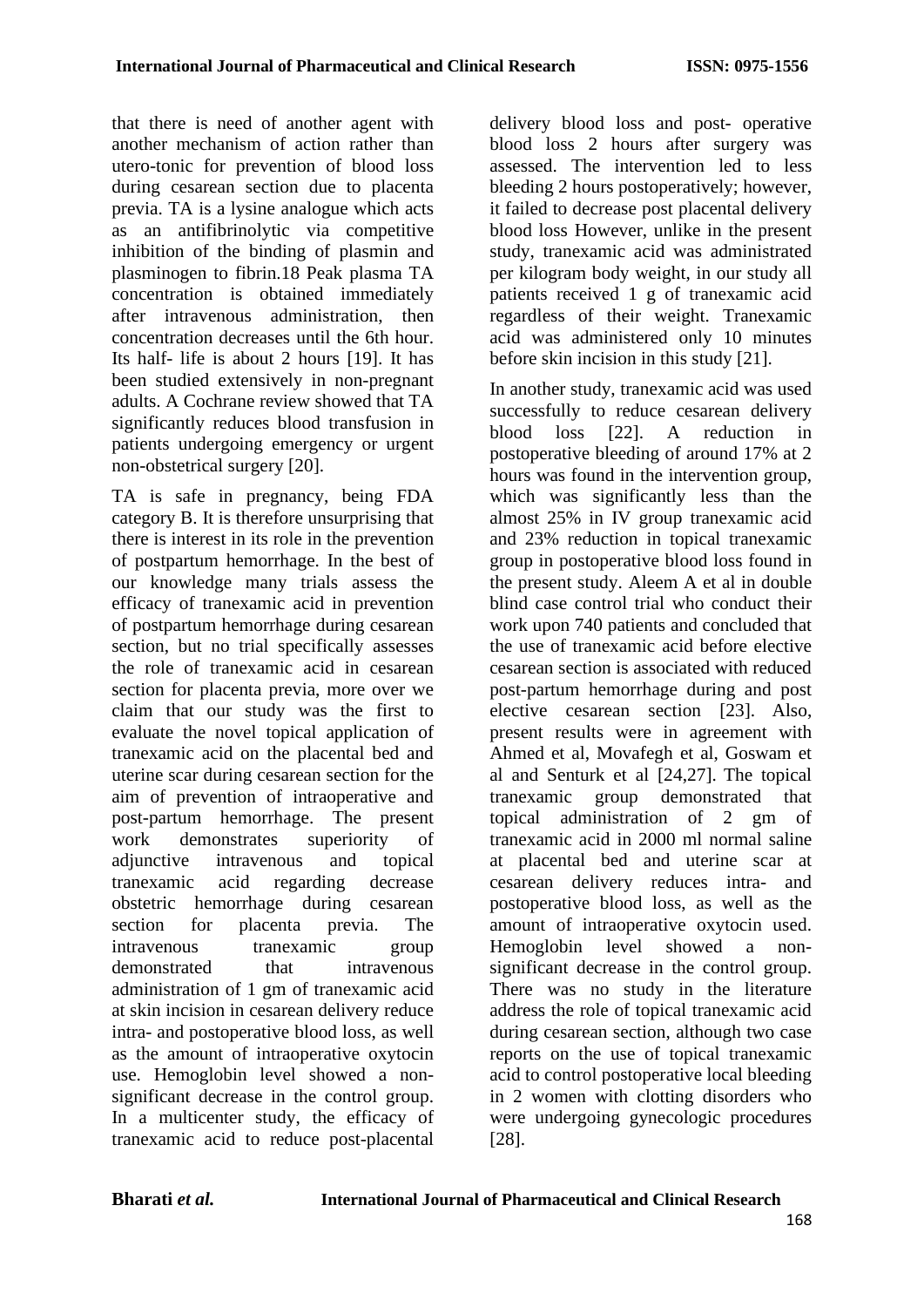that there is need of another agent with another mechanism of action rather than utero-tonic for prevention of blood loss during cesarean section due to placenta previa. TA is a lysine analogue which acts as an antifibrinolytic via competitive inhibition of the binding of plasmin and plasminogen to fibrin.18 Peak plasma TA concentration is obtained immediately after intravenous administration, then concentration decreases until the 6th hour. Its half- life is about 2 hours [19]. It has been studied extensively in non-pregnant adults. A Cochrane review showed that TA significantly reduces blood transfusion in patients undergoing emergency or urgent non-obstetrical surgery [20].

TA is safe in pregnancy, being FDA category B. It is therefore unsurprising that there is interest in its role in the prevention of postpartum hemorrhage. In the best of our knowledge many trials assess the efficacy of tranexamic acid in prevention of postpartum hemorrhage during cesarean section, but no trial specifically assesses the role of tranexamic acid in cesarean section for placenta previa, more over we claim that our study was the first to evaluate the novel topical application of tranexamic acid on the placental bed and uterine scar during cesarean section for the aim of prevention of intraoperative and post-partum hemorrhage. The present work demonstrates superiority of adjunctive intravenous and topical tranexamic acid regarding decrease obstetric hemorrhage during cesarean section for placenta previa. The intravenous tranexamic group demonstrated that intravenous administration of 1 gm of tranexamic acid at skin incision in cesarean delivery reduce intra- and postoperative blood loss, as well as the amount of intraoperative oxytocin use. Hemoglobin level showed a nonsignificant decrease in the control group. In a multicenter study, the efficacy of tranexamic acid to reduce post-placental

delivery blood loss and post- operative blood loss 2 hours after surgery was assessed. The intervention led to less bleeding 2 hours postoperatively; however, it failed to decrease post placental delivery blood loss However, unlike in the present study, tranexamic acid was administrated per kilogram body weight, in our study all patients received 1 g of tranexamic acid regardless of their weight. Tranexamic acid was administered only 10 minutes before skin incision in this study [21].

In another study, tranexamic acid was used successfully to reduce cesarean delivery blood loss [22]. A reduction in postoperative bleeding of around 17% at 2 hours was found in the intervention group, which was significantly less than the almost 25% in IV group tranexamic acid and 23% reduction in topical tranexamic group in postoperative blood loss found in the present study. Aleem A et al in double blind case control trial who conduct their work upon 740 patients and concluded that the use of tranexamic acid before elective cesarean section is associated with reduced post-partum hemorrhage during and post elective cesarean section [23]. Also, present results were in agreement with Ahmed et al, Movafegh et al, Goswam et al and Senturk et al [24,27]. The topical tranexamic group demonstrated that topical administration of 2 gm of tranexamic acid in 2000 ml normal saline at placental bed and uterine scar at cesarean delivery reduces intra- and postoperative blood loss, as well as the amount of intraoperative oxytocin used. Hemoglobin level showed a nonsignificant decrease in the control group. There was no study in the literature address the role of topical tranexamic acid during cesarean section, although two case reports on the use of topical tranexamic acid to control postoperative local bleeding in 2 women with clotting disorders who were undergoing gynecologic procedures [28].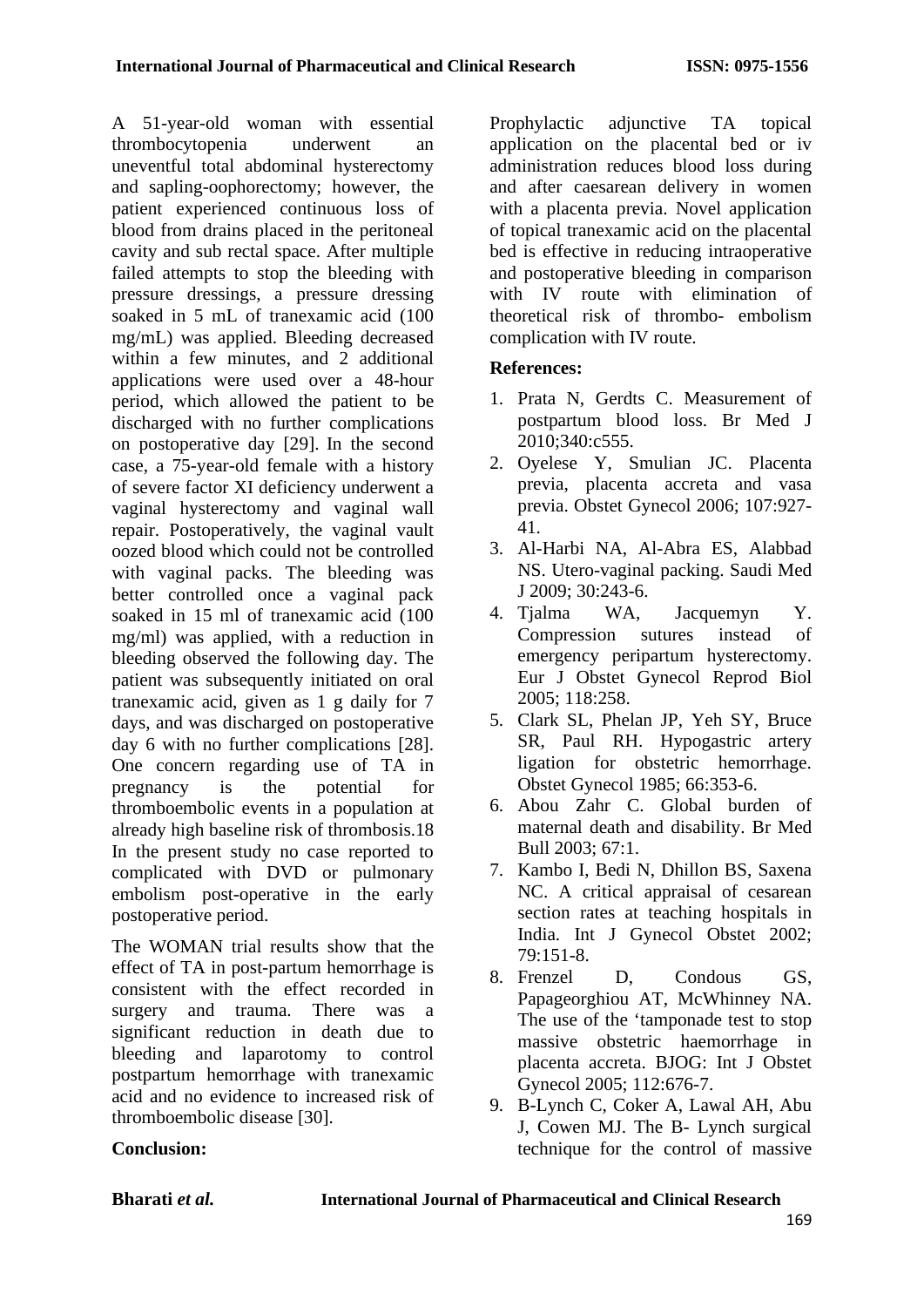A 51-year-old woman with essential thrombocytopenia underwent an uneventful total abdominal hysterectomy and sapling-oophorectomy; however, the patient experienced continuous loss of blood from drains placed in the peritoneal cavity and sub rectal space. After multiple failed attempts to stop the bleeding with pressure dressings, a pressure dressing soaked in 5 mL of tranexamic acid (100 mg/mL) was applied. Bleeding decreased within a few minutes, and 2 additional applications were used over a 48-hour period, which allowed the patient to be discharged with no further complications on postoperative day [29]. In the second case, a 75-year-old female with a history of severe factor XI deficiency underwent a vaginal hysterectomy and vaginal wall repair. Postoperatively, the vaginal vault oozed blood which could not be controlled with vaginal packs. The bleeding was better controlled once a vaginal pack soaked in 15 ml of tranexamic acid (100 mg/ml) was applied, with a reduction in bleeding observed the following day. The patient was subsequently initiated on oral tranexamic acid, given as 1 g daily for 7 days, and was discharged on postoperative day 6 with no further complications [28]. One concern regarding use of TA in pregnancy is the potential for thromboembolic events in a population at already high baseline risk of thrombosis.18 In the present study no case reported to complicated with DVD or pulmonary embolism post-operative in the early postoperative period.

The WOMAN trial results show that the effect of TA in post-partum hemorrhage is consistent with the effect recorded in surgery and trauma. There was a significant reduction in death due to bleeding and laparotomy to control postpartum hemorrhage with tranexamic acid and no evidence to increased risk of thromboembolic disease [30].

Prophylactic adjunctive TA topical application on the placental bed or iv administration reduces blood loss during and after caesarean delivery in women with a placenta previa. Novel application of topical tranexamic acid on the placental bed is effective in reducing intraoperative and postoperative bleeding in comparison with IV route with elimination of theoretical risk of thrombo- embolism complication with IV route.

# **References:**

- 1. Prata N, Gerdts C. Measurement of postpartum blood loss. Br Med J 2010;340:c555.
- 2. Oyelese Y, Smulian JC. Placenta previa, placenta accreta and vasa previa. Obstet Gynecol 2006; 107:927- 41.
- 3. Al-Harbi NA, Al-Abra ES, Alabbad NS. Utero-vaginal packing. Saudi Med J 2009; 30:243-6.
- 4. Tjalma WA, Jacquemyn Y. Compression sutures instead of emergency peripartum hysterectomy. Eur J Obstet Gynecol Reprod Biol 2005; 118:258.
- 5. Clark SL, Phelan JP, Yeh SY, Bruce SR, Paul RH. Hypogastric artery ligation for obstetric hemorrhage. Obstet Gynecol 1985; 66:353-6.
- 6. Abou Zahr C. Global burden of maternal death and disability. Br Med Bull 2003; 67:1.
- 7. Kambo I, Bedi N, Dhillon BS, Saxena NC. A critical appraisal of cesarean section rates at teaching hospitals in India. Int J Gynecol Obstet 2002; 79:151-8.
- 8. Frenzel D, Condous GS, Papageorghiou AT, McWhinney NA. The use of the 'tamponade test to stop massive obstetric haemorrhage in placenta accreta. BJOG: Int J Obstet Gynecol 2005; 112:676-7.
- 9. B-Lynch C, Coker A, Lawal AH, Abu J, Cowen MJ. The B- Lynch surgical technique for the control of massive

# **Conclusion:**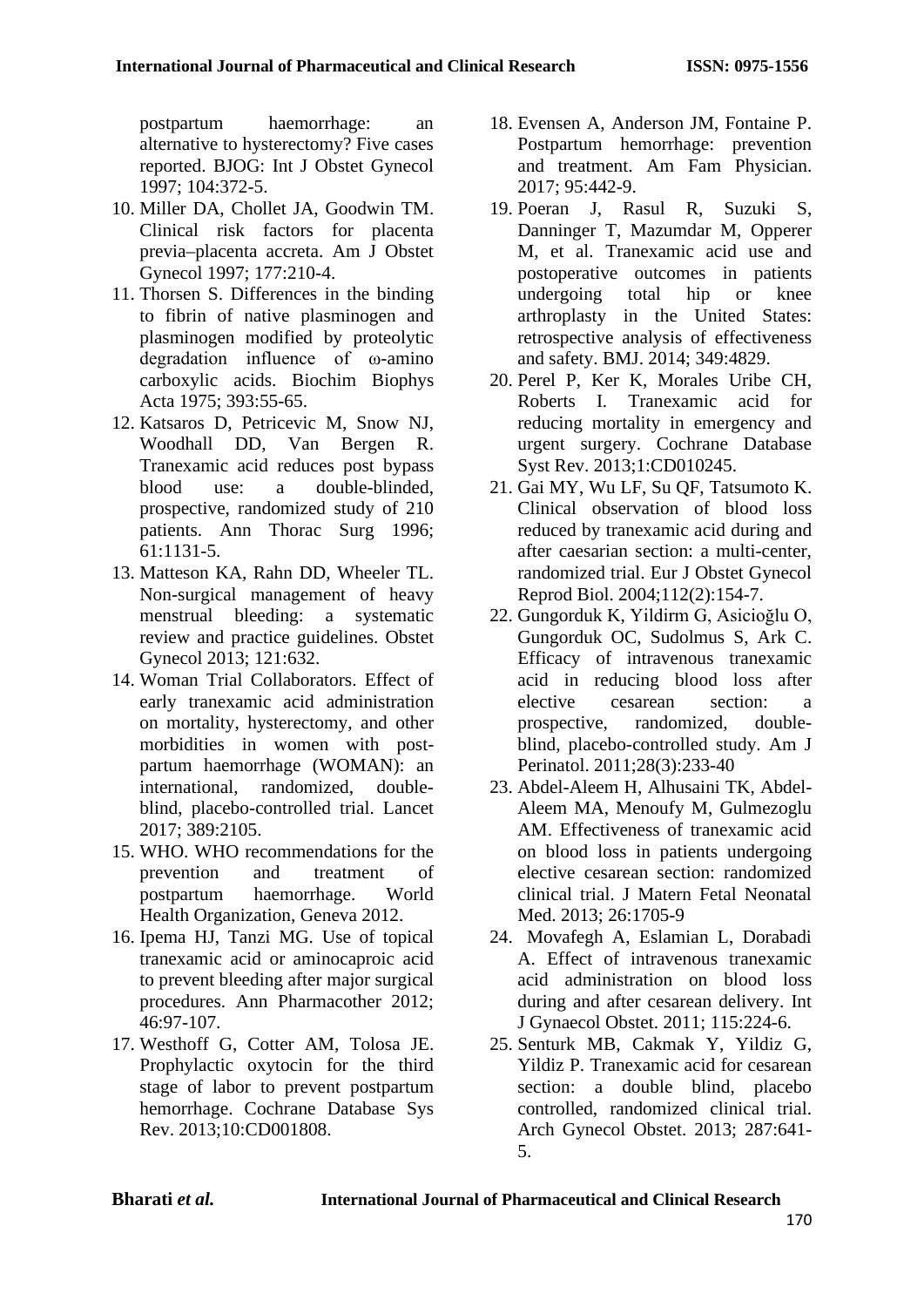postpartum haemorrhage: an alternative to hysterectomy? Five cases reported. BJOG: Int J Obstet Gynecol 1997; 104:372-5.

- 10. Miller DA, Chollet JA, Goodwin TM. Clinical risk factors for placenta previa–placenta accreta. Am J Obstet Gynecol 1997; 177:210-4.
- 11. Thorsen S. Differences in the binding to fibrin of native plasminogen and plasminogen modified by proteolytic degradation influence of ω-amino carboxylic acids. Biochim Biophys Acta 1975; 393:55-65.
- 12. Katsaros D, Petricevic M, Snow NJ, Woodhall DD, Van Bergen R. Tranexamic acid reduces post bypass blood use: a double-blinded, prospective, randomized study of 210 patients. Ann Thorac Surg 1996; 61:1131-5.
- 13. Matteson KA, Rahn DD, Wheeler TL. Non-surgical management of heavy menstrual bleeding: a systematic review and practice guidelines. Obstet Gynecol 2013; 121:632.
- 14. Woman Trial Collaborators. Effect of early tranexamic acid administration on mortality, hysterectomy, and other morbidities in women with postpartum haemorrhage (WOMAN): an international, randomized, doubleblind, placebo-controlled trial. Lancet 2017; 389:2105.
- 15. WHO. WHO recommendations for the prevention and treatment of postpartum haemorrhage. World Health Organization, Geneva 2012.
- 16. Ipema HJ, Tanzi MG. Use of topical tranexamic acid or aminocaproic acid to prevent bleeding after major surgical procedures. Ann Pharmacother 2012; 46:97-107.
- 17. Westhoff G, Cotter AM, Tolosa JE. Prophylactic oxytocin for the third stage of labor to prevent postpartum hemorrhage. Cochrane Database Sys Rev. 2013;10:CD001808.
- 18. Evensen A, Anderson JM, Fontaine P. Postpartum hemorrhage: prevention and treatment. Am Fam Physician. 2017; 95:442-9.
- 19. Poeran J, Rasul R, Suzuki S, Danninger T, Mazumdar M, Opperer M, et al. Tranexamic acid use and postoperative outcomes in patients undergoing total hip or knee arthroplasty in the United States: retrospective analysis of effectiveness and safety. BMJ. 2014; 349:4829.
- 20. Perel P, Ker K, Morales Uribe CH, Roberts I. Tranexamic acid for reducing mortality in emergency and urgent surgery. Cochrane Database Syst Rev. 2013;1:CD010245.
- 21. Gai MY, Wu LF, Su QF, Tatsumoto K. Clinical observation of blood loss reduced by tranexamic acid during and after caesarian section: a multi-center, randomized trial. Eur J Obstet Gynecol Reprod Biol. 2004;112(2):154-7.
- 22. Gungorduk K, Yildirm G, Asicioğlu O, Gungorduk OC, Sudolmus S, Ark C. Efficacy of intravenous tranexamic acid in reducing blood loss after elective cesarean section: a prospective, randomized, doubleblind, placebo-controlled study. Am J Perinatol. 2011;28(3):233-40
- 23. Abdel-Aleem H, Alhusaini TK, Abdel-Aleem MA, Menoufy M, Gulmezoglu AM. Effectiveness of tranexamic acid on blood loss in patients undergoing elective cesarean section: randomized clinical trial. J Matern Fetal Neonatal Med. 2013; 26:1705-9
- 24. Movafegh A, Eslamian L, Dorabadi A. Effect of intravenous tranexamic acid administration on blood loss during and after cesarean delivery. Int J Gynaecol Obstet. 2011; 115:224-6.
- 25. Senturk MB, Cakmak Y, Yildiz G, Yildiz P. Tranexamic acid for cesarean section: a double blind, placebo controlled, randomized clinical trial. Arch Gynecol Obstet. 2013; 287:641- 5.